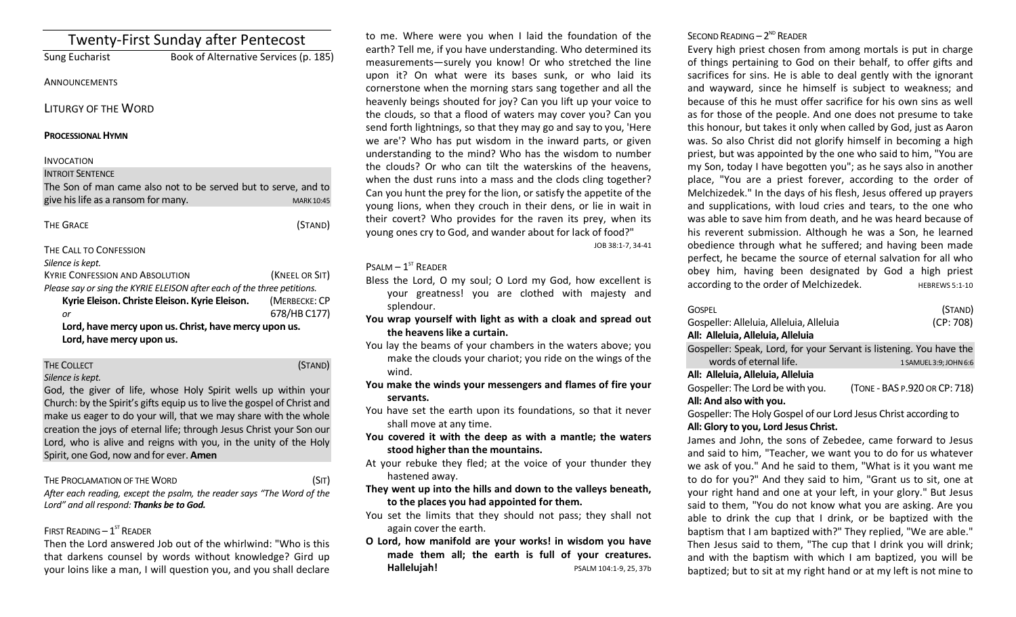| <b>Twenty-First Sunday after Pentecost</b>                                         |                                                                         |  |
|------------------------------------------------------------------------------------|-------------------------------------------------------------------------|--|
| Sung Eucharist                                                                     | Book of Alternative Services (p. 185)                                   |  |
| ANNOUNCEMENTS                                                                      |                                                                         |  |
| LITURGY OF THE WORD                                                                |                                                                         |  |
| <b>PROCESSIONAL HYMN</b>                                                           |                                                                         |  |
| <b>INVOCATION</b>                                                                  |                                                                         |  |
| <b>INTROIT SENTENCE</b>                                                            |                                                                         |  |
|                                                                                    | The Son of man came also not to be served but to serve, and to          |  |
| give his life as a ransom for many.                                                | <b>MARK 10:45</b>                                                       |  |
| <b>THE GRACE</b>                                                                   | (STAND)                                                                 |  |
| THE CALL TO CONFESSION                                                             |                                                                         |  |
| Silence is kept.                                                                   |                                                                         |  |
| <b>KYRIE CONFESSION AND ABSOLUTION</b>                                             | (KNEEL OR SIT)                                                          |  |
|                                                                                    | Please say or sing the KYRIE ELEISON after each of the three petitions. |  |
| Kyrie Eleison. Christe Eleison. Kyrie Eleison.                                     | (MERBECKE: CP                                                           |  |
| or                                                                                 | 678/HB C177)                                                            |  |
| Lord, have mercy upon us. Christ, have mercy upon us.<br>Lord, have mercy upon us. |                                                                         |  |

#### THE COLLECT **THE COLLECT COLLECT COLLECT COLLECT COLLECT COLLECT COLLECT COLLECT** *Silence is kept.*

God, the giver of life, whose Holy Spirit wells up within your Church: by the Spirit's gifts equip us to live the gospel of Christ and make us eager to do your will, that we may share with the whole creation the joys of eternal life; through Jesus Christ your Son our Lord, who is alive and reigns with you, in the unity of the Holy Spirit, one God, now and for ever. **Amen**

#### THE PROCLAMATION OF THE WORD (SIT)

*After each reading, except the psalm, the reader says "The Word of the Lord" and all respond: Thanks be to God.* 

# FIRST READING  $-1^\text{ST}$  READER

Then the Lord answered Job out of the whirlwind: "Who is this that darkens counsel by words without knowledge? Gird up your loins like a man, I will question you, and you shall declare

to me. Where were you when I laid the foundation of the earth? Tell me, if you have understanding. Who determined its measurements—surely you know! Or who stretched the line upon it? On what were its bases sunk, or who laid its cornerstone when the morning stars sang together and all the heavenly beings shouted for joy? Can you lift up your voice to the clouds, so that a flood of waters may cover you? Can you send forth lightnings, so that they may go and say to you, 'Here we are'? Who has put wisdom in the inward parts, or given understanding to the mind? Who has the wisdom to number the clouds? Or who can tilt the waterskins of the heavens, when the dust runs into a mass and the clods cling together? Can you hunt the prey for the lion, or satisfy the appetite of the young lions, when they crouch in their dens, or lie in wait in their covert? Who provides for the raven its prey, when its young ones cry to God, and wander about for lack of food?"

JOB 38:1-7, 34-41

#### $P$ SALM  $-1$ <sup>ST</sup> READER

- Bless the Lord, O my soul; O Lord my God, how excellent is your greatness! you are clothed with majesty and splendour.
- **You wrap yourself with light as with a cloak and spread out the heavens like a curtain.**
- You lay the beams of your chambers in the waters above; you make the clouds your chariot; you ride on the wings of the wind.
- **You make the winds your messengers and flames of fire your servants.**
- You have set the earth upon its foundations, so that it never shall move at any time.
- **You covered it with the deep as with a mantle; the waters stood higher than the mountains.**
- At your rebuke they fled; at the voice of your thunder they hastened away.
- **They went up into the hills and down to the valleys beneath, to the places you had appointed for them.**
- You set the limits that they should not pass; they shall not again cover the earth.
- **O Lord, how manifold are your works! in wisdom you have made them all; the earth is full of your creatures. Hallelujah!** PSALM 104:1-9, 25, 37b

# SECOND READING  $-2^{ND}$  READER

Every high priest chosen from among mortals is put in charge of things pertaining to God on their behalf, to offer gifts and sacrifices for sins. He is able to deal gently with the ignorant and wayward, since he himself is subject to weakness; and because of this he must offer sacrifice for his own sins as well as for those of the people. And one does not presume to take this honour, but takes it only when called by God, just as Aaron was. So also Christ did not glorify himself in becoming a high priest, but was appointed by the one who said to him, "You are my Son, today I have begotten you"; as he says also in another place, "You are a priest forever, according to the order of Melchizedek." In the days of his flesh, Jesus offered up prayers and supplications, with loud cries and tears, to the one who was able to save him from death, and he was heard because of his reverent submission. Although he was a Son, he learned obedience through what he suffered; and having been made perfect, he became the source of eternal salvation for all who obey him, having been designated by God a high priest according to the order of Melchizedek. HEBREWS 5:1-10

| <b>GOSPEL</b>                                                       | (STAND)                |  |
|---------------------------------------------------------------------|------------------------|--|
| Gospeller: Alleluia, Alleluia, Alleluia                             | (CP: 708)              |  |
| All: Alleluia, Alleluia, Alleluia                                   |                        |  |
| Gospeller: Speak, Lord, for your Servant is listening. You have the |                        |  |
| words of eternal life.                                              | 1 SAMUEL 3:9; JOHN 6:6 |  |
|                                                                     |                        |  |

#### **All: Alleluia, Alleluia, Alleluia**

Gospeller: The Lord be with you. (TONE - BAS P.920 OR CP: 718) **All: And also with you.** 

Gospeller: The Holy Gospel of our Lord Jesus Christ according to **All: Glory to you, Lord Jesus Christ.**

James and John, the sons of Zebedee, came forward to Jesus and said to him, "Teacher, we want you to do for us whatever we ask of you." And he said to them, "What is it you want me to do for you?" And they said to him, "Grant us to sit, one at your right hand and one at your left, in your glory." But Jesus said to them, "You do not know what you are asking. Are you able to drink the cup that I drink, or be baptized with the baptism that I am baptized with?" They replied, "We are able." Then Jesus said to them, "The cup that I drink you will drink; and with the baptism with which I am baptized, you will be baptized; but to sit at my right hand or at my left is not mine to